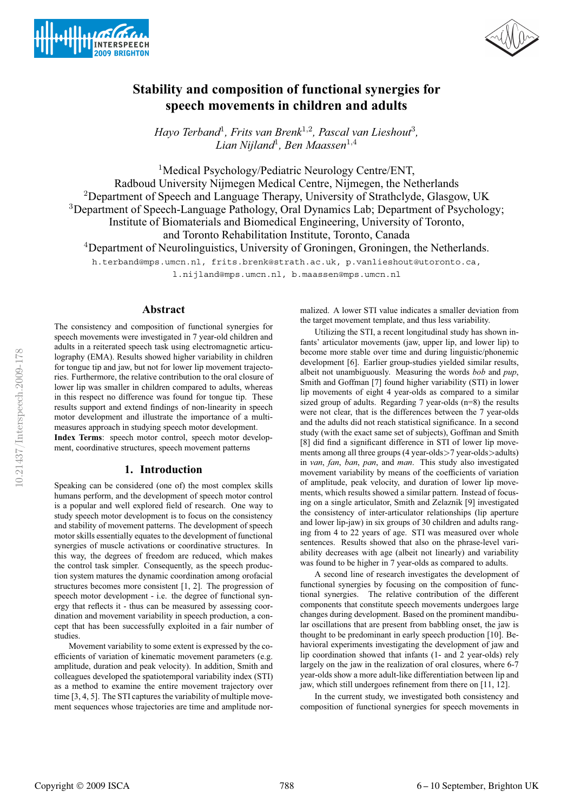



# **Stability and composition of functional synergies for speech movements in children and adults**

*Hayo Terband*<sup>1</sup>*, Frits van Brenk*<sup>1</sup>,<sup>2</sup>*, Pascal van Lieshout*<sup>3</sup>*, Lian Nijland*<sup>1</sup>*, Ben Maassen*<sup>1</sup>,<sup>4</sup>

<sup>1</sup>Medical Psychology/Pediatric Neurology Centre/ENT, Radboud University Nijmegen Medical Centre, Nijmegen, the Netherlands <sup>2</sup>Department of Speech and Language Therapy, University of Strathclyde, Glasgow, UK <sup>3</sup>Department of Speech-Language Pathology, Oral Dynamics Lab; Department of Psychology; Institute of Biomaterials and Biomedical Engineering, University of Toronto, and Toronto Rehabilitation Institute, Toronto, Canada <sup>4</sup>Department of Neurolinguistics, University of Groningen, Groningen, the Netherlands. h.terband@mps.umcn.nl, frits.brenk@strath.ac.uk, p.vanlieshout@utoronto.ca,

l.nijland@mps.umcn.nl, b.maassen@mps.umcn.nl

# **Abstract**

The consistency and composition of functional synergies for speech movements were investigated in 7 year-old children and adults in a reiterated speech task using electromagnetic articulography (EMA). Results showed higher variability in children for tongue tip and jaw, but not for lower lip movement trajectories. Furthermore, the relative contribution to the oral closure of lower lip was smaller in children compared to adults, whereas in this respect no difference was found for tongue tip. These results support and extend findings of non-linearity in speech motor development and illustrate the importance of a multimeasures approach in studying speech motor development. **Index Terms**: speech motor control, speech motor development, coordinative structures, speech movement patterns

### **1. Introduction**

Speaking can be considered (one of) the most complex skills humans perform, and the development of speech motor control is a popular and well explored field of research. One way to study speech motor development is to focus on the consistency and stability of movement patterns. The development of speech motor skills essentially equates to the development of functional synergies of muscle activations or coordinative structures. In this way, the degrees of freedom are reduced, which makes the control task simpler. Consequently, as the speech production system matures the dynamic coordination among orofacial structures becomes more consistent [1, 2]. The progression of speech motor development - i.e. the degree of functional synergy that reflects it - thus can be measured by assessing coordination and movement variability in speech production, a concept that has been successfully exploited in a fair number of studies.

Movement variability to some extent is expressed by the coefficients of variation of kinematic movement parameters (e.g. amplitude, duration and peak velocity). In addition, Smith and colleagues developed the spatiotemporal variability index (STI) as a method to examine the entire movement trajectory over time [3, 4, 5]. The STI captures the variability of multiple movement sequences whose trajectories are time and amplitude normalized. A lower STI value indicates a smaller deviation from the target movement template, and thus less variability.

Utilizing the STI, a recent longitudinal study has shown infants' articulator movements (jaw, upper lip, and lower lip) to become more stable over time and during linguistic/phonemic development [6]. Earlier group-studies yielded similar results, albeit not unambiguously. Measuring the words *bob* and *pup*, Smith and Goffman [7] found higher variability (STI) in lower lip movements of eight 4 year-olds as compared to a similar sized group of adults. Regarding 7 year-olds (n=8) the results were not clear, that is the differences between the 7 year-olds and the adults did not reach statistical significance. In a second study (with the exact same set of subjects), Goffman and Smith [8] did find a significant difference in STI of lower lip movements among all three groups (4 year-olds>7 year-olds>adults) in *van*, *fan*, *ban*, *pan*, and *man*. This study also investigated movement variability by means of the coefficients of variation of amplitude, peak velocity, and duration of lower lip movements, which results showed a similar pattern. Instead of focusing on a single articulator, Smith and Zelaznik [9] investigated the consistency of inter-articulator relationships (lip aperture and lower lip-jaw) in six groups of 30 children and adults ranging from 4 to 22 years of age. STI was measured over whole sentences. Results showed that also on the phrase-level variability decreases with age (albeit not linearly) and variability was found to be higher in 7 year-olds as compared to adults.

A second line of research investigates the development of functional synergies by focusing on the composition of functional synergies. The relative contribution of the different components that constitute speech movements undergoes large changes during development. Based on the prominent mandibular oscillations that are present from babbling onset, the jaw is thought to be predominant in early speech production [10]. Behavioral experiments investigating the development of jaw and lip coordination showed that infants (1- and 2 year-olds) rely largely on the jaw in the realization of oral closures, where 6-7 year-olds show a more adult-like differentiation between lip and jaw, which still undergoes refinement from there on [11, 12].

In the current study, we investigated both consistency and composition of functional synergies for speech movements in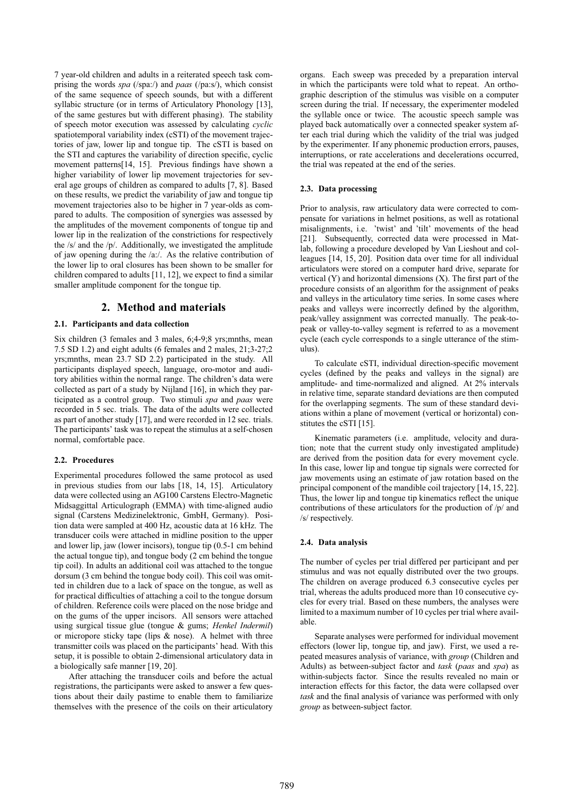7 year-old children and adults in a reiterated speech task comprising the words *spa* (/spa:/) and *paas* (/pa:s/), which consist of the same sequence of speech sounds, but with a different syllabic structure (or in terms of Articulatory Phonology [13], of the same gestures but with different phasing). The stability of speech motor execution was assessed by calculating *cyclic* spatiotemporal variability index (cSTI) of the movement trajectories of jaw, lower lip and tongue tip. The cSTI is based on the STI and captures the variability of direction specific, cyclic movement patterns[14, 15]. Previous findings have shown a higher variability of lower lip movement trajectories for several age groups of children as compared to adults [7, 8]. Based on these results, we predict the variability of jaw and tongue tip movement trajectories also to be higher in 7 year-olds as compared to adults. The composition of synergies was assessed by the amplitudes of the movement components of tongue tip and lower lip in the realization of the constrictions for respectively the /s/ and the /p/. Additionally, we investigated the amplitude of jaw opening during the /a:/. As the relative contribution of the lower lip to oral closures has been shown to be smaller for children compared to adults [11, 12], we expect to find a similar smaller amplitude component for the tongue tip.

# **2. Method and materials**

#### **2.1. Participants and data collection**

Six children (3 females and 3 males, 6;4-9;8 yrs;mnths, mean 7.5 SD 1.2) and eight adults (6 females and 2 males, 21;3-27;2 yrs;mnths, mean 23.7 SD 2.2) participated in the study. All participants displayed speech, language, oro-motor and auditory abilities within the normal range. The children's data were collected as part of a study by Nijland [16], in which they participated as a control group. Two stimuli *spa* and *paas* were recorded in 5 sec. trials. The data of the adults were collected as part of another study [17], and were recorded in 12 sec. trials. The participants' task was to repeat the stimulus at a self-chosen normal, comfortable pace.

#### **2.2. Procedures**

Experimental procedures followed the same protocol as used in previous studies from our labs [18, 14, 15]. Articulatory data were collected using an AG100 Carstens Electro-Magnetic Midsaggittal Articulograph (EMMA) with time-aligned audio signal (Carstens Medizinelektronic, GmbH, Germany). Position data were sampled at 400 Hz, acoustic data at 16 kHz. The transducer coils were attached in midline position to the upper and lower lip, jaw (lower incisors), tongue tip (0.5-1 cm behind the actual tongue tip), and tongue body (2 cm behind the tongue tip coil). In adults an additional coil was attached to the tongue dorsum (3 cm behind the tongue body coil). This coil was omitted in children due to a lack of space on the tongue, as well as for practical difficulties of attaching a coil to the tongue dorsum of children. Reference coils were placed on the nose bridge and on the gums of the upper incisors. All sensors were attached using surgical tissue glue (tongue & gums; *Henkel Indermil*) or micropore sticky tape (lips & nose). A helmet with three transmitter coils was placed on the participants' head. With this setup, it is possible to obtain 2-dimensional articulatory data in a biologically safe manner [19, 20].

After attaching the transducer coils and before the actual registrations, the participants were asked to answer a few questions about their daily pastime to enable them to familiarize themselves with the presence of the coils on their articulatory

organs. Each sweep was preceded by a preparation interval in which the participants were told what to repeat. An orthographic description of the stimulus was visible on a computer screen during the trial. If necessary, the experimenter modeled the syllable once or twice. The acoustic speech sample was played back automatically over a connected speaker system after each trial during which the validity of the trial was judged by the experimenter. If any phonemic production errors, pauses, interruptions, or rate accelerations and decelerations occurred, the trial was repeated at the end of the series.

#### **2.3. Data processing**

Prior to analysis, raw articulatory data were corrected to compensate for variations in helmet positions, as well as rotational misalignments, i.e. 'twist' and 'tilt' movements of the head [21]. Subsequently, corrected data were processed in Matlab, following a procedure developed by Van Lieshout and colleagues [14, 15, 20]. Position data over time for all individual articulators were stored on a computer hard drive, separate for vertical (Y) and horizontal dimensions (X). The first part of the procedure consists of an algorithm for the assignment of peaks and valleys in the articulatory time series. In some cases where peaks and valleys were incorrectly defined by the algorithm, peak/valley assignment was corrected manually. The peak-topeak or valley-to-valley segment is referred to as a movement cycle (each cycle corresponds to a single utterance of the stimulus).

To calculate cSTI, individual direction-specific movement cycles (defined by the peaks and valleys in the signal) are amplitude- and time-normalized and aligned. At 2% intervals in relative time, separate standard deviations are then computed for the overlapping segments. The sum of these standard deviations within a plane of movement (vertical or horizontal) constitutes the cSTI [15].

Kinematic parameters (i.e. amplitude, velocity and duration; note that the current study only investigated amplitude) are derived from the position data for every movement cycle. In this case, lower lip and tongue tip signals were corrected for jaw movements using an estimate of jaw rotation based on the principal component of the mandible coil trajectory [14, 15, 22]. Thus, the lower lip and tongue tip kinematics reflect the unique contributions of these articulators for the production of /p/ and /s/ respectively.

#### **2.4. Data analysis**

The number of cycles per trial differed per participant and per stimulus and was not equally distributed over the two groups. The children on average produced 6.3 consecutive cycles per trial, whereas the adults produced more than 10 consecutive cycles for every trial. Based on these numbers, the analyses were limited to a maximum number of 10 cycles per trial where available.

Separate analyses were performed for individual movement effectors (lower lip, tongue tip, and jaw). First, we used a repeated measures analysis of variance, with *group* (Children and Adults) as between-subject factor and *task* (*paas* and *spa*) as within-subjects factor. Since the results revealed no main or interaction effects for this factor, the data were collapsed over *task* and the final analysis of variance was performed with only *group* as between-subject factor.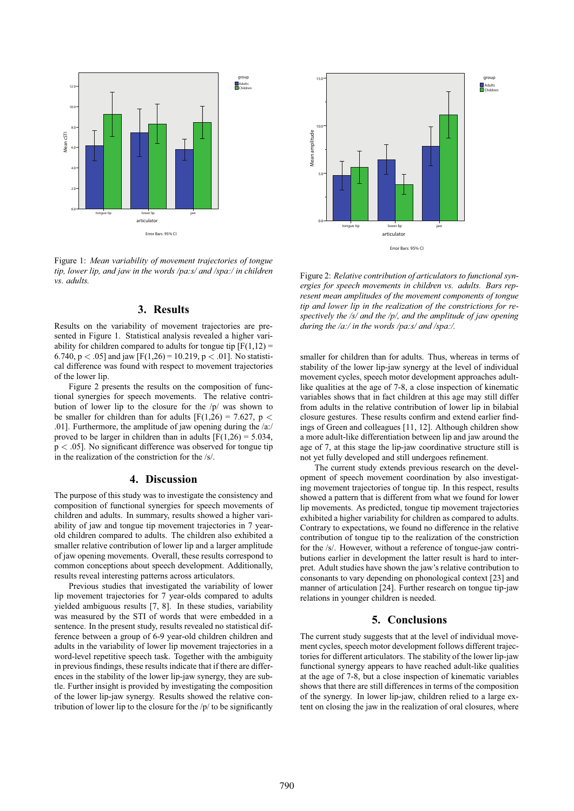

Figure 1: *Mean variability of movement trajectories of tongue tip, lower lip, and jaw in the words /pa:s/ and /spa:/ in children vs. adults.*

# **3. Results**

Results on the variability of movement trajectories are presented in Figure 1. Statistical analysis revealed a higher variability for children compared to adults for tongue tip  $[F(1,12) =$ 6.740, p < .05] and jaw  $[F(1,26) = 10.219, p < .01]$ . No statistical difference was found with respect to movement trajectories of the lower lip.

Figure 2 presents the results on the composition of functional synergies for speech movements. The relative contribution of lower lip to the closure for the /p/ was shown to be smaller for children than for adults  $[F(1,26) = 7.627, p <$ .01]. Furthermore, the amplitude of jaw opening during the /a:/ proved to be larger in children than in adults  $[F(1,26) = 5.034]$ ,  $p < .05$ ]. No significant difference was observed for tongue tip in the realization of the constriction for the /s/.

## **4. Discussion**

The purpose of this study was to investigate the consistency and composition of functional synergies for speech movements of children and adults. In summary, results showed a higher variability of jaw and tongue tip movement trajectories in 7 yearold children compared to adults. The children also exhibited a smaller relative contribution of lower lip and a larger amplitude of jaw opening movements. Overall, these results correspond to common conceptions about speech development. Additionally, results reveal interesting patterns across articulators.

Previous studies that investigated the variability of lower lip movement trajectories for 7 year-olds compared to adults yielded ambiguous results [7, 8]. In these studies, variability was measured by the STI of words that were embedded in a sentence. In the present study, results revealed no statistical difference between a group of 6-9 year-old children children and adults in the variability of lower lip movement trajectories in a word-level repetitive speech task. Together with the ambiguity in previous findings, these results indicate that if there are differences in the stability of the lower lip-jaw synergy, they are subtle. Further insight is provided by investigating the composition of the lower lip-jaw synergy. Results showed the relative contribution of lower lip to the closure for the  $/p/$  to be significantly



Figure 2: *Relative contribution of articulators to functional synergies for speech movements in children vs. adults. Bars represent mean amplitudes of the movement components of tongue tip and lower lip in the realization of the constrictions for respectively the /s/ and the /p/, and the amplitude of jaw opening during the /a:/ in the words /pa:s/ and /spa:/.*

smaller for children than for adults. Thus, whereas in terms of stability of the lower lip-jaw synergy at the level of individual movement cycles, speech motor development approaches adultlike qualities at the age of 7-8, a close inspection of kinematic variables shows that in fact children at this age may still differ from adults in the relative contribution of lower lip in bilabial closure gestures. These results confirm and extend earlier findings of Green and colleagues [11, 12]. Although children show a more adult-like differentiation between lip and jaw around the age of 7, at this stage the lip-jaw coordinative structure still is not yet fully developed and still undergoes refinement.

The current study extends previous research on the development of speech movement coordination by also investigating movement trajectories of tongue tip. In this respect, results showed a pattern that is different from what we found for lower lip movements. As predicted, tongue tip movement trajectories exhibited a higher variability for children as compared to adults. Contrary to expectations, we found no difference in the relative contribution of tongue tip to the realization of the constriction for the /s/. However, without a reference of tongue-jaw contributions earlier in development the latter result is hard to interpret. Adult studies have shown the jaw's relative contribution to consonants to vary depending on phonological context [23] and manner of articulation [24]. Further research on tongue tip-jaw relations in younger children is needed.

### **5. Conclusions**

The current study suggests that at the level of individual movement cycles, speech motor development follows different trajectories for different articulators. The stability of the lower lip-jaw functional synergy appears to have reached adult-like qualities at the age of 7-8, but a close inspection of kinematic variables shows that there are still differences in terms of the composition of the synergy. In lower lip-jaw, children relied to a large extent on closing the jaw in the realization of oral closures, where